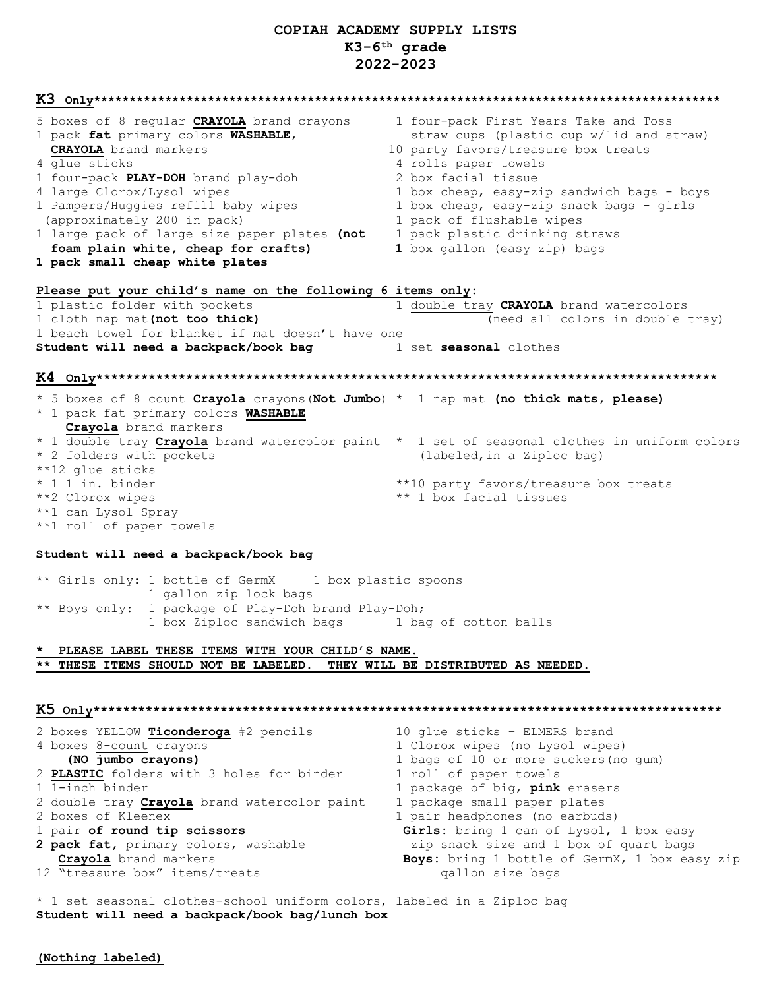## COPIAH ACADEMY SUPPLY LISTS  $K3-6^{th}$  grade 2022-2023

|                                                                                      | $\mathbf{K3}$ $\,$ $_{\mathrm{only}}$ $_{\mathrm{x}}$ $_{\mathrm{x}}$ $_{\mathrm{x}}$ $_{\mathrm{x}}$ $_{\mathrm{x}}$ $_{\mathrm{x}}$ $_{\mathrm{x}}$ $_{\mathrm{x}}$ $_{\mathrm{x}}$ $_{\mathrm{x}}$ $_{\mathrm{x}}$ $_{\mathrm{x}}$ $_{\mathrm{x}}$ $_{\mathrm{x}}$ $_{\mathrm{y}}$ $_{\mathrm{z}}$ $_{\mathrm{y}}$ $_{\mathrm{z}}$ $_{\mathrm{z}}$ $_{\mathrm{z}}$ $_{\mathrm{y}}$ $_{\mathrm{z}}$ $_{\mathrm{z}}$ $_{\$ |
|--------------------------------------------------------------------------------------|-----------------------------------------------------------------------------------------------------------------------------------------------------------------------------------------------------------------------------------------------------------------------------------------------------------------------------------------------------------------------------------------------------------------------------|
| 5 boxes of 8 regular CRAYOLA brand crayons                                           | 1 four-pack First Years Take and Toss                                                                                                                                                                                                                                                                                                                                                                                       |
| 1 pack fat primary colors WASHABLE,                                                  | straw cups (plastic cup w/lid and straw)                                                                                                                                                                                                                                                                                                                                                                                    |
| <b>CRAYOLA</b> brand markers                                                         | 10 party favors/treasure box treats                                                                                                                                                                                                                                                                                                                                                                                         |
| 4 glue sticks                                                                        | 4 rolls paper towels                                                                                                                                                                                                                                                                                                                                                                                                        |
| 1 four-pack PLAY-DOH brand play-doh                                                  | 2 box facial tissue                                                                                                                                                                                                                                                                                                                                                                                                         |
| 4 large Clorox/Lysol wipes                                                           | 1 box cheap, easy-zip sandwich bags - boys                                                                                                                                                                                                                                                                                                                                                                                  |
| 1 Pampers/Huggies refill baby wipes                                                  | 1 box cheap, easy-zip snack bags - girls                                                                                                                                                                                                                                                                                                                                                                                    |
| (approximately 200 in pack)                                                          | 1 pack of flushable wipes                                                                                                                                                                                                                                                                                                                                                                                                   |
| 1 large pack of large size paper plates (not                                         | 1 pack plastic drinking straws                                                                                                                                                                                                                                                                                                                                                                                              |
| foam plain white, cheap for crafts)                                                  | 1 box gallon (easy zip) bags                                                                                                                                                                                                                                                                                                                                                                                                |
| 1 pack small cheap white plates                                                      |                                                                                                                                                                                                                                                                                                                                                                                                                             |
| Please put your child's name on the following 6 items only:                          |                                                                                                                                                                                                                                                                                                                                                                                                                             |
| 1 plastic folder with pockets                                                        | 1 double tray CRAYOLA brand watercolors                                                                                                                                                                                                                                                                                                                                                                                     |
| 1 cloth nap mat (not too thick)                                                      | (need all colors in double tray)                                                                                                                                                                                                                                                                                                                                                                                            |
| 1 beach towel for blanket if mat doesn't have one                                    |                                                                                                                                                                                                                                                                                                                                                                                                                             |
|                                                                                      |                                                                                                                                                                                                                                                                                                                                                                                                                             |
| Student will need a backpack/book bag and a set seasonal clothes                     |                                                                                                                                                                                                                                                                                                                                                                                                                             |
|                                                                                      |                                                                                                                                                                                                                                                                                                                                                                                                                             |
|                                                                                      |                                                                                                                                                                                                                                                                                                                                                                                                                             |
| * 5 boxes of 8 count Crayola crayons (Not Jumbo) * 1 nap mat (no thick mats, please) |                                                                                                                                                                                                                                                                                                                                                                                                                             |
| * 1 pack fat primary colors WASHABLE                                                 |                                                                                                                                                                                                                                                                                                                                                                                                                             |
| Crayola brand markers                                                                |                                                                                                                                                                                                                                                                                                                                                                                                                             |
|                                                                                      | * 1 double tray Crayola brand watercolor paint * 1 set of seasonal clothes in uniform colors                                                                                                                                                                                                                                                                                                                                |
| * 2 folders with pockets                                                             | (labeled, in a Ziploc bag)                                                                                                                                                                                                                                                                                                                                                                                                  |
| **12 glue sticks                                                                     |                                                                                                                                                                                                                                                                                                                                                                                                                             |
| * 1 1 in. binder                                                                     | **10 party favors/treasure box treats                                                                                                                                                                                                                                                                                                                                                                                       |
| **2 Clorox wipes                                                                     | ** 1 box facial tissues                                                                                                                                                                                                                                                                                                                                                                                                     |
| **1 can Lysol Spray                                                                  |                                                                                                                                                                                                                                                                                                                                                                                                                             |
| **1 roll of paper towels                                                             |                                                                                                                                                                                                                                                                                                                                                                                                                             |
|                                                                                      |                                                                                                                                                                                                                                                                                                                                                                                                                             |
| Student will need a backpack/book bag                                                |                                                                                                                                                                                                                                                                                                                                                                                                                             |
|                                                                                      |                                                                                                                                                                                                                                                                                                                                                                                                                             |
| ** Girls only: 1 bottle of GermX 1 box plastic spoons                                |                                                                                                                                                                                                                                                                                                                                                                                                                             |
| 1 gallon zip lock bags                                                               |                                                                                                                                                                                                                                                                                                                                                                                                                             |
| ** Boys only: 1 package of Play-Doh brand Play-Doh;                                  |                                                                                                                                                                                                                                                                                                                                                                                                                             |
| 1 box Ziploc sandwich bags 1 bag of cotton balls                                     |                                                                                                                                                                                                                                                                                                                                                                                                                             |
|                                                                                      |                                                                                                                                                                                                                                                                                                                                                                                                                             |
| PLEASE LABEL THESE ITEMS WITH YOUR CHILD'S NAME.                                     |                                                                                                                                                                                                                                                                                                                                                                                                                             |
| ** THESE ITEMS SHOULD NOT BE LABELED.                                                | THEY WILL BE DISTRIBUTED AS NEEDED.                                                                                                                                                                                                                                                                                                                                                                                         |
|                                                                                      |                                                                                                                                                                                                                                                                                                                                                                                                                             |
|                                                                                      |                                                                                                                                                                                                                                                                                                                                                                                                                             |
|                                                                                      |                                                                                                                                                                                                                                                                                                                                                                                                                             |
| 2 boxes YELLOW Ticonderoga #2 pencils                                                | 10 glue sticks - ELMERS brand                                                                                                                                                                                                                                                                                                                                                                                               |
| 4 boxes 8-count crayons                                                              | 1 Clorox wipes (no Lysol wipes)                                                                                                                                                                                                                                                                                                                                                                                             |
| (NO jumbo crayons)                                                                   |                                                                                                                                                                                                                                                                                                                                                                                                                             |
|                                                                                      |                                                                                                                                                                                                                                                                                                                                                                                                                             |
| 2 PLASTIC folders with 3 holes for binder                                            | 1 bags of 10 or more suckers (no gum)<br>1 roll of paper towels                                                                                                                                                                                                                                                                                                                                                             |

2 double tray **Crayola** brand watercolor paint

- 2 boxes of Kleenex
- 1 pair of round tip scissors

2 pack fat, primary colors, washable **Crayola** brand markers 12 "treasure box" items/treats

1 package of big**, pink** erasers 1 package small paper plates 1 pair headphones (no earbuds) Girls: bring 1 can of Lysol, 1 box easy zip snack size and 1 box of quart bags Boys: bring 1 bottle of GermX, 1 box easy zip qallon size bags

\* 1 set seasonal clothes-school uniform colors, labeled in a Ziploc bag Student will need a backpack/book bag/lunch box

(Nothing labeled)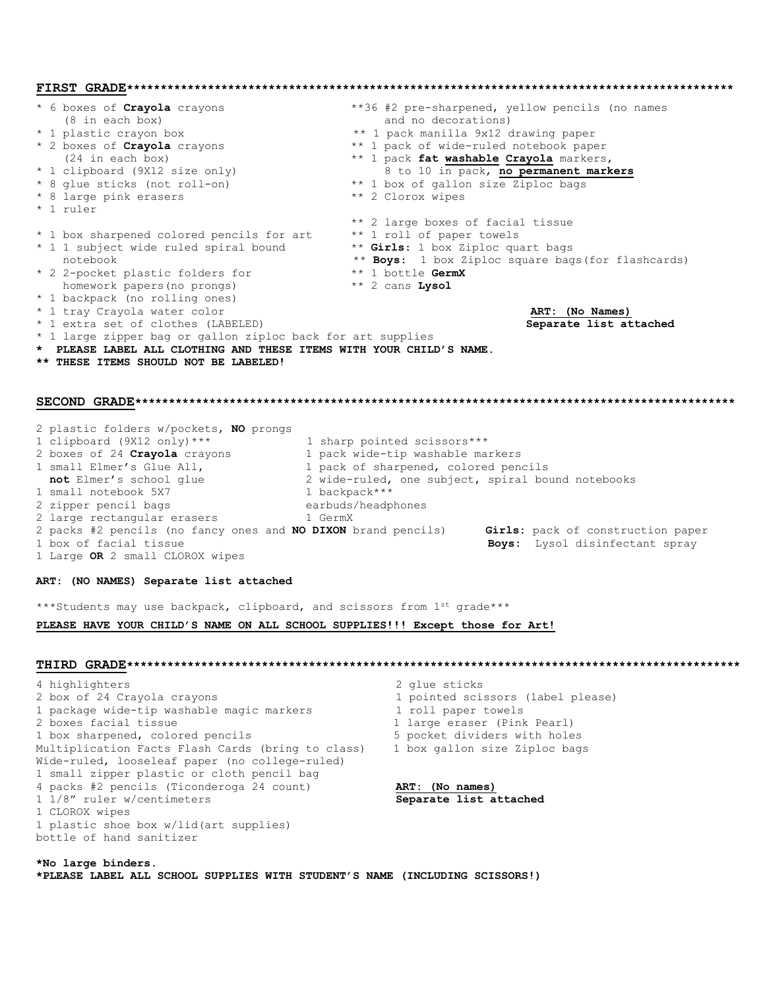**FIRST GRADE\*\*\*\*\*\*\*\*\*\*\*\*\*\*\*\*\*\*\*\*\*\*\*\*\*\*\*\*\*\*\*\*\*\*\*\*\*\*\*\*\*\*\*\*\*\*\*\*\*\*\*\*\*\*\*\*\*\*\*\*\*\*\*\*\*\*\*\*\*\*\*\*\*\*\*\*\*\*\*\*\*\*\*\*\*\*\*\*\*\*** boxes of **Crayola** crayons \*\*36 #2 pre-sharpened, yellow pencils (no names (8 in each box) and no decorations) (8 in each box) and no decorations)<br>
\* 1 plastic crayon box  $*$  and no decorations)<br>
\*\* 1 pack manilla 9x12 c \* 1 plastic crayon box \*\* 1 pack manilla 9x12 drawing paper<br>\* 2 boxes of Crayola crayons \*\* 1 pack of wide-ruled notebook pape \*\* 1 pack of **Crayola** crayons \*\* 1 pack of wide-ruled notebook paper<br>(24 in each box) \*\* 1 pack **fat washable Crayola** markers \*\* 1 pack **fat washable Crayola** markers,<br>8 to 10 in pack, no permanent markers \* 1 clipboard (9X12 size only)<br>\* 8 glue sticks (not roll-on) \*\* 1 box of gallon size Ziploc bags<br>\*\* 2 Clorox wipes \* 8 large pink erasers \* 1 ruler \*\* 2 large boxes of facial tissue \* 1 box sharpened colored pencils for art \*\* 1 roll of paper towels \* 1 1 subject wide ruled spiral bound \*\* **Girls**: 1 box Ziploc quart bags notebook \*\* **Boys:** 1 box Ziploc square bags(for flashcards)<br>2-pocket plastic folders for \*\* 1 bottle **GermX** \* 2 2-pocket plastic folders for \*\* 1 bottle **Germ**<br>
homework papers (no prongs) \*\* 2 cans **Lysol** homework papers(no prongs) \* 1 backpack (no rolling ones) \* 1 tray Crayola water color **ART: (No Names)** \* 1 extra set of clothes (LABELED) \* 1 large zipper bag or gallon ziploc back for art supplies **\* PLEASE LABEL ALL CLOTHING AND THESE ITEMS WITH YOUR CHILD'S NAME. \*\* THESE ITEMS SHOULD NOT BE LABELED! SECOND GRADE\*\*\*\*\*\*\*\*\*\*\*\*\*\*\*\*\*\*\*\*\*\*\*\*\*\*\*\*\*\*\*\*\*\*\*\*\*\*\*\*\*\*\*\*\*\*\*\*\*\*\*\*\*\*\*\*\*\*\*\*\*\*\*\*\*\*\*\*\*\*\*\*\*\*\*\*\*\*\*\*\*\*\*\*\*\*\*\*\*** 2 plastic folders w/pockets, **NO** prongs 1 clipboard (9X12 only)\*\*\* 1 sharp pointed scissors\*\*\* 2 boxes of 24 **Crayola** crayons 1 pack wide-tip washable markers 1 small Elmer's Glue All, 1 pack of sharpened, colored pencils **not** Elmer's school glue 2 wide-ruled, one subject, spiral bound notebooks 1 small notebook 5X7 1 backpack\*\*\* 2 zipper pencil bags entitle to the earbuds/headphones 2 large rectangular erasers 1 GermX 2 packs #2 pencils (no fancy ones and **NO DIXON** brand pencils) **Girls:** pack of construction paper Boys: Lysol disinfectant spray 1 Large **OR** 2 small CLOROX wipes **ART: (NO NAMES) Separate list attached**  \*\*\*Students may use backpack, clipboard, and scissors from 1st grade\*\*\* **PLEASE HAVE YOUR CHILD'S NAME ON ALL SCHOOL SUPPLIES!!! Except those for Art! THIRD GRADE\*\*\*\*\*\*\*\*\*\*\*\*\*\*\*\*\*\*\*\*\*\*\*\*\*\*\*\*\*\*\*\*\*\*\*\*\*\*\*\*\*\*\*\*\*\*\*\*\*\*\*\*\*\*\*\*\*\*\*\*\*\*\*\*\*\*\*\*\*\*\*\*\*\*\*\*\*\*\*\*\*\*\*\*\*\*\*\*\*\*\***  4 highlighters 2 glue sticks 2 box of 24 Crayola crayons 1 pointed scissors (label please) 1 package wide-tip washable magic markers 1 roll paper towels<br>2 boxes facial tissue 1 large eraser (Pink 1 large eraser (Pink Pearl)<br>5 pocket dividers with holes 1 box sharpened, colored pencils Multiplication Facts Flash Cards (bring to class) 1 box gallon size Ziploc bags Wide-ruled, looseleaf paper (no college-ruled) 1 small zipper plastic or cloth pencil bag 4 packs #2 pencils (Ticonderoga 24 count) **ART: (No names)**  1 1/8" ruler w/centimeters **Separate list attached** 1 CLOROX wipes 1 plastic shoe box w/lid(art supplies) bottle of hand sanitizer **\*No large binders.** 

**\*PLEASE LABEL ALL SCHOOL SUPPLIES WITH STUDENT'S NAME (INCLUDING SCISSORS!)**